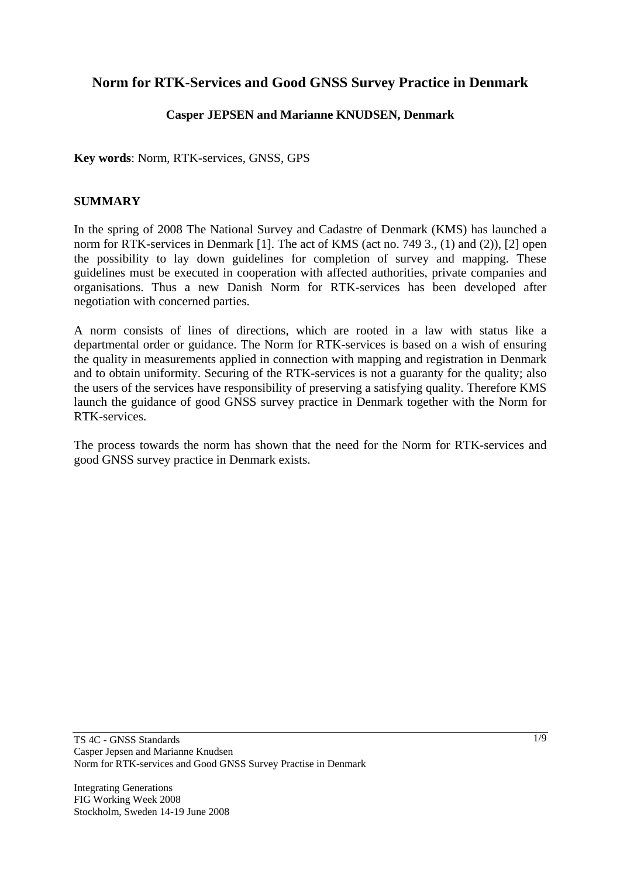# **Norm for RTK-Services and Good GNSS Survey Practice in Denmark**

### **Casper JEPSEN and Marianne KNUDSEN, Denmark**

**Key words**: Norm, RTK-services, GNSS, GPS

#### **SUMMARY**

In the spring of 2008 The National Survey and Cadastre of Denmark (KMS) has launched a norm for RTK-services in Denmark [1]. The act of KMS (act no. 749 3., (1) and (2)), [2] open the possibility to lay down guidelines for completion of survey and mapping. These guidelines must be executed in cooperation with affected authorities, private companies and organisations. Thus a new Danish Norm for RTK-services has been developed after negotiation with concerned parties.

A norm consists of lines of directions, which are rooted in a law with status like a departmental order or guidance. The Norm for RTK-services is based on a wish of ensuring the quality in measurements applied in connection with mapping and registration in Denmark and to obtain uniformity. Securing of the RTK-services is not a guaranty for the quality; also the users of the services have responsibility of preserving a satisfying quality. Therefore KMS launch the guidance of good GNSS survey practice in Denmark together with the Norm for RTK-services.

The process towards the norm has shown that the need for the Norm for RTK-services and good GNSS survey practice in Denmark exists.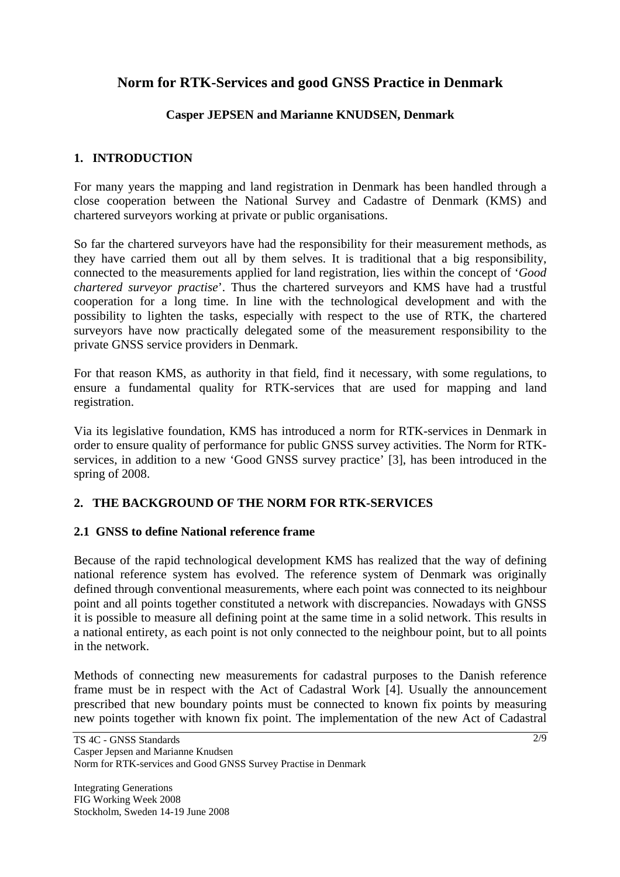# **Norm for RTK-Services and good GNSS Practice in Denmark**

## **Casper JEPSEN and Marianne KNUDSEN, Denmark**

#### **1. INTRODUCTION**

For many years the mapping and land registration in Denmark has been handled through a close cooperation between the National Survey and Cadastre of Denmark (KMS) and chartered surveyors working at private or public organisations.

So far the chartered surveyors have had the responsibility for their measurement methods, as they have carried them out all by them selves. It is traditional that a big responsibility, connected to the measurements applied for land registration, lies within the concept of '*Good chartered surveyor practise*'. Thus the chartered surveyors and KMS have had a trustful cooperation for a long time. In line with the technological development and with the possibility to lighten the tasks, especially with respect to the use of RTK, the chartered surveyors have now practically delegated some of the measurement responsibility to the private GNSS service providers in Denmark.

For that reason KMS, as authority in that field, find it necessary, with some regulations, to ensure a fundamental quality for RTK-services that are used for mapping and land registration.

Via its legislative foundation, KMS has introduced a norm for RTK-services in Denmark in order to ensure quality of performance for public GNSS survey activities. The Norm for RTKservices, in addition to a new 'Good GNSS survey practice' [3], has been introduced in the spring of 2008.

# **2. THE BACKGROUND OF THE NORM FOR RTK-SERVICES**

#### **2.1 GNSS to define National reference frame**

Because of the rapid technological development KMS has realized that the way of defining national reference system has evolved. The reference system of Denmark was originally defined through conventional measurements, where each point was connected to its neighbour point and all points together constituted a network with discrepancies. Nowadays with GNSS it is possible to measure all defining point at the same time in a solid network. This results in a national entirety, as each point is not only connected to the neighbour point, but to all points in the network.

Methods of connecting new measurements for cadastral purposes to the Danish reference frame must be in respect with the Act of Cadastral Work [4]. Usually the announcement prescribed that new boundary points must be connected to known fix points by measuring new points together with known fix point. The implementation of the new Act of Cadastral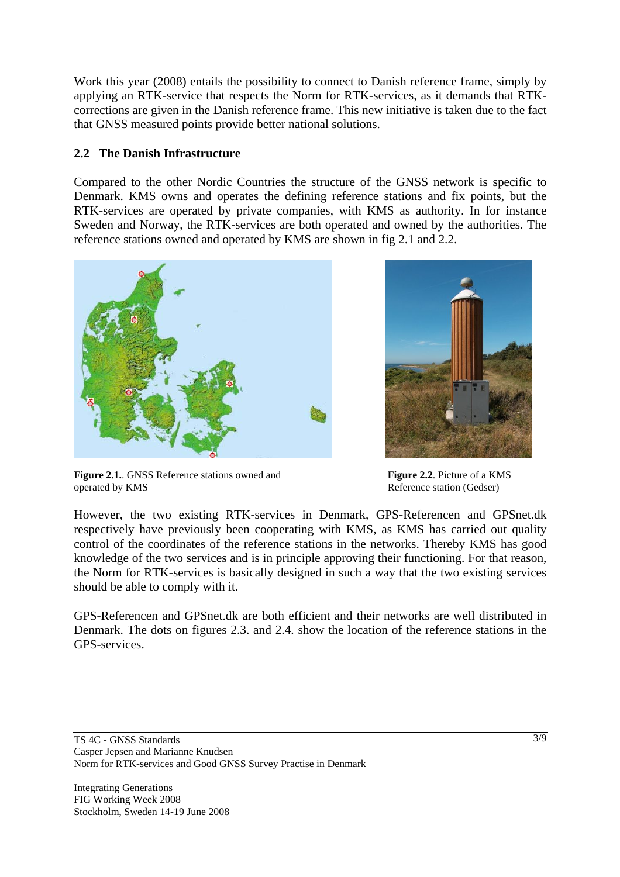Work this year (2008) entails the possibility to connect to Danish reference frame, simply by applying an RTK-service that respects the Norm for RTK-services, as it demands that RTKcorrections are given in the Danish reference frame. This new initiative is taken due to the fact that GNSS measured points provide better national solutions.

#### **2.2 The Danish Infrastructure**

Compared to the other Nordic Countries the structure of the GNSS network is specific to Denmark. KMS owns and operates the defining reference stations and fix points, but the RTK-services are operated by private companies, with KMS as authority. In for instance Sweden and Norway, the RTK-services are both operated and owned by the authorities. The reference stations owned and operated by KMS are shown in fig 2.1 and 2.2.



**Figure 2.1.** GNSS Reference stations owned and **Figure 2.2.** Picture of a KMS operated by KMS Reference station (Gedser)



However, the two existing RTK-services in Denmark, GPS-Referencen and GPSnet.dk respectively have previously been cooperating with KMS, as KMS has carried out quality control of the coordinates of the reference stations in the networks. Thereby KMS has good knowledge of the two services and is in principle approving their functioning. For that reason, the Norm for RTK-services is basically designed in such a way that the two existing services should be able to comply with it.

GPS-Referencen and GPSnet.dk are both efficient and their networks are well distributed in Denmark. The dots on figures 2.3. and 2.4. show the location of the reference stations in the GPS-services.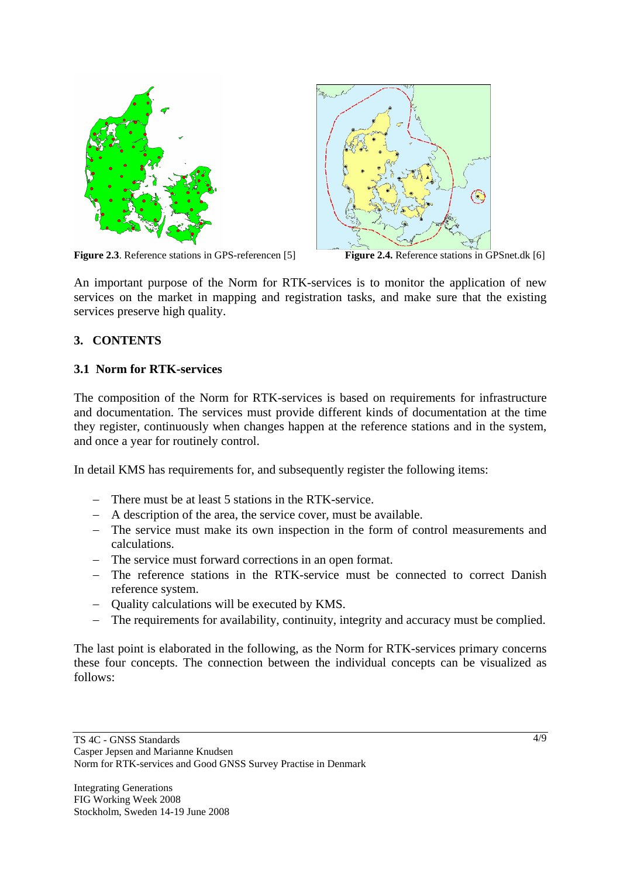



**Figure 2.3**. Reference stations in GPS-referencen [5] **Figure 2.4.** Reference stations in GPSnet.dk [6]

An important purpose of the Norm for RTK-services is to monitor the application of new services on the market in mapping and registration tasks, and make sure that the existing services preserve high quality.

### **3. CONTENTS**

#### **3.1 Norm for RTK-services**

The composition of the Norm for RTK-services is based on requirements for infrastructure and documentation. The services must provide different kinds of documentation at the time they register, continuously when changes happen at the reference stations and in the system, and once a year for routinely control.

In detail KMS has requirements for, and subsequently register the following items:

- − There must be at least 5 stations in the RTK-service.
- − A description of the area, the service cover, must be available.
- − The service must make its own inspection in the form of control measurements and calculations.
- − The service must forward corrections in an open format.
- − The reference stations in the RTK-service must be connected to correct Danish reference system.
- − Quality calculations will be executed by KMS.
- − The requirements for availability, continuity, integrity and accuracy must be complied.

The last point is elaborated in the following, as the Norm for RTK-services primary concerns these four concepts. The connection between the individual concepts can be visualized as follows: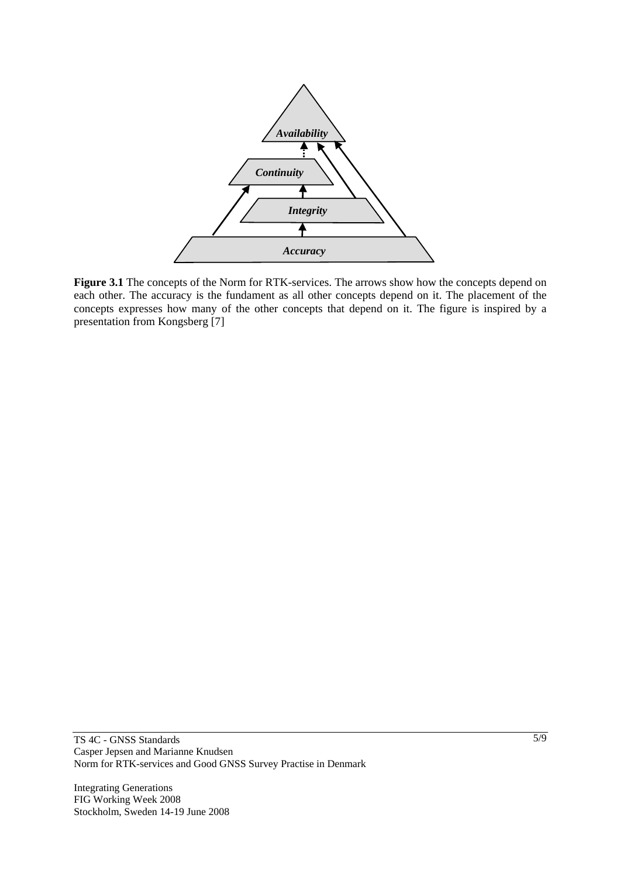

Figure 3.1 The concepts of the Norm for RTK-services. The arrows show how the concepts depend on each other. The accuracy is the fundament as all other concepts depend on it. The placement of the concepts expresses how many of the other concepts that depend on it. The figure is inspired by a presentation from Kongsberg [7]

Integrating Generations FIG Working Week 2008 Stockholm, Sweden 14-19 June 2008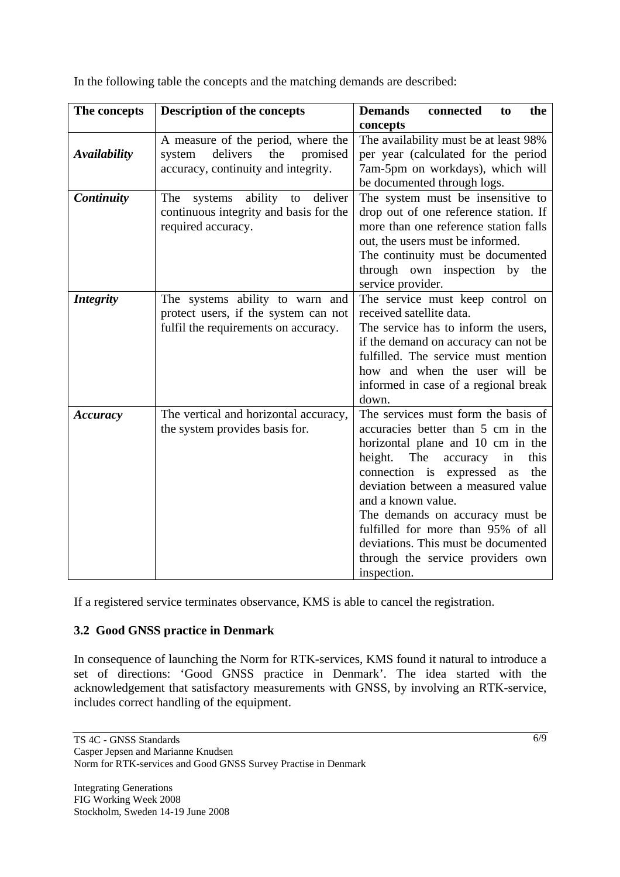In the following table the concepts and the matching demands are described:

| The concepts            | <b>Description of the concepts</b>                                                                                 | <b>Demands</b><br>the<br>connected<br>to                                                                                                                                                                                                                                                                                                                                                                                     |
|-------------------------|--------------------------------------------------------------------------------------------------------------------|------------------------------------------------------------------------------------------------------------------------------------------------------------------------------------------------------------------------------------------------------------------------------------------------------------------------------------------------------------------------------------------------------------------------------|
|                         |                                                                                                                    | concepts                                                                                                                                                                                                                                                                                                                                                                                                                     |
| <b>Availability</b>     | A measure of the period, where the<br>delivers<br>the<br>promised<br>system<br>accuracy, continuity and integrity. | The availability must be at least 98%<br>per year (calculated for the period<br>7am-5pm on workdays), which will<br>be documented through logs.                                                                                                                                                                                                                                                                              |
| Continuity              | deliver<br>ability to<br>The<br>systems<br>continuous integrity and basis for the<br>required accuracy.            | The system must be insensitive to<br>drop out of one reference station. If<br>more than one reference station falls<br>out, the users must be informed.<br>The continuity must be documented<br>through own inspection by the<br>service provider.                                                                                                                                                                           |
| <i><b>Integrity</b></i> | The systems ability to warn and<br>protect users, if the system can not<br>fulfil the requirements on accuracy.    | The service must keep control on<br>received satellite data.<br>The service has to inform the users,<br>if the demand on accuracy can not be<br>fulfilled. The service must mention<br>how and when the user will be<br>informed in case of a regional break<br>down.                                                                                                                                                        |
| Accuracy                | The vertical and horizontal accuracy,<br>the system provides basis for.                                            | The services must form the basis of<br>accuracies better than 5 cm in the<br>horizontal plane and 10 cm in the<br>height. The<br>accuracy<br>in<br>this<br>connection is expressed as<br>the<br>deviation between a measured value<br>and a known value.<br>The demands on accuracy must be<br>fulfilled for more than 95% of all<br>deviations. This must be documented<br>through the service providers own<br>inspection. |

If a registered service terminates observance, KMS is able to cancel the registration.

# **3.2 Good GNSS practice in Denmark**

In consequence of launching the Norm for RTK-services, KMS found it natural to introduce a set of directions: 'Good GNSS practice in Denmark'. The idea started with the acknowledgement that satisfactory measurements with GNSS, by involving an RTK-service, includes correct handling of the equipment.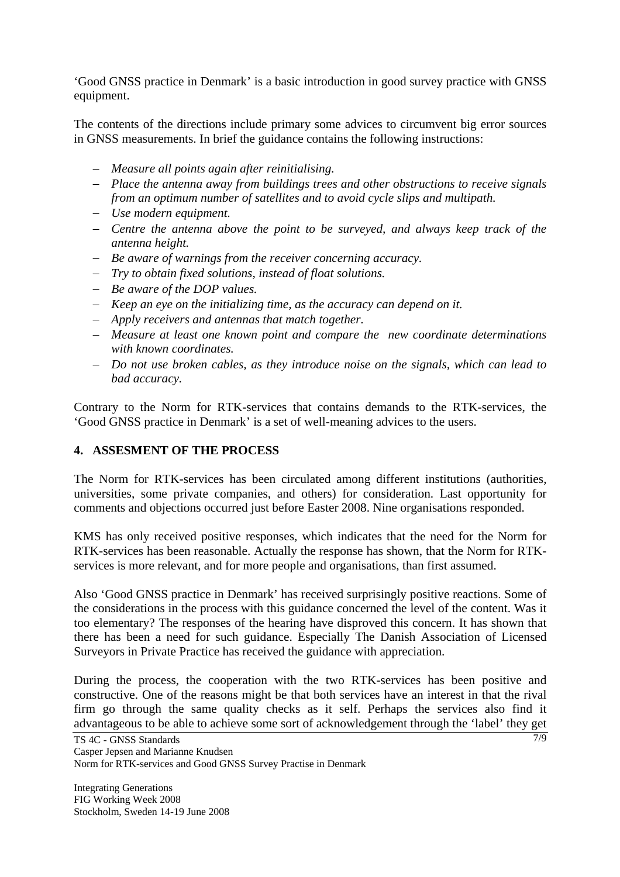'Good GNSS practice in Denmark' is a basic introduction in good survey practice with GNSS equipment.

The contents of the directions include primary some advices to circumvent big error sources in GNSS measurements. In brief the guidance contains the following instructions:

- − *Measure all points again after reinitialising.*
- − *Place the antenna away from buildings trees and other obstructions to receive signals from an optimum number of satellites and to avoid cycle slips and multipath.*
- − *Use modern equipment.*
- − *Centre the antenna above the point to be surveyed, and always keep track of the antenna height.*
- − *Be aware of warnings from the receiver concerning accuracy.*
- − *Try to obtain fixed solutions, instead of float solutions.*
- − *Be aware of the DOP values.*
- − *Keep an eye on the initializing time, as the accuracy can depend on it.*
- − *Apply receivers and antennas that match together.*
- − *Measure at least one known point and compare the new coordinate determinations with known coordinates.*
- − *Do not use broken cables, as they introduce noise on the signals, which can lead to bad accuracy.*

Contrary to the Norm for RTK-services that contains demands to the RTK-services, the 'Good GNSS practice in Denmark' is a set of well-meaning advices to the users.

#### **4. ASSESMENT OF THE PROCESS**

The Norm for RTK-services has been circulated among different institutions (authorities, universities, some private companies, and others) for consideration. Last opportunity for comments and objections occurred just before Easter 2008. Nine organisations responded.

KMS has only received positive responses, which indicates that the need for the Norm for RTK-services has been reasonable. Actually the response has shown, that the Norm for RTKservices is more relevant, and for more people and organisations, than first assumed.

Also 'Good GNSS practice in Denmark' has received surprisingly positive reactions. Some of the considerations in the process with this guidance concerned the level of the content. Was it too elementary? The responses of the hearing have disproved this concern. It has shown that there has been a need for such guidance. Especially The Danish Association of Licensed Surveyors in Private Practice has received the guidance with appreciation.

During the process, the cooperation with the two RTK-services has been positive and constructive. One of the reasons might be that both services have an interest in that the rival firm go through the same quality checks as it self. Perhaps the services also find it advantageous to be able to achieve some sort of acknowledgement through the 'label' they get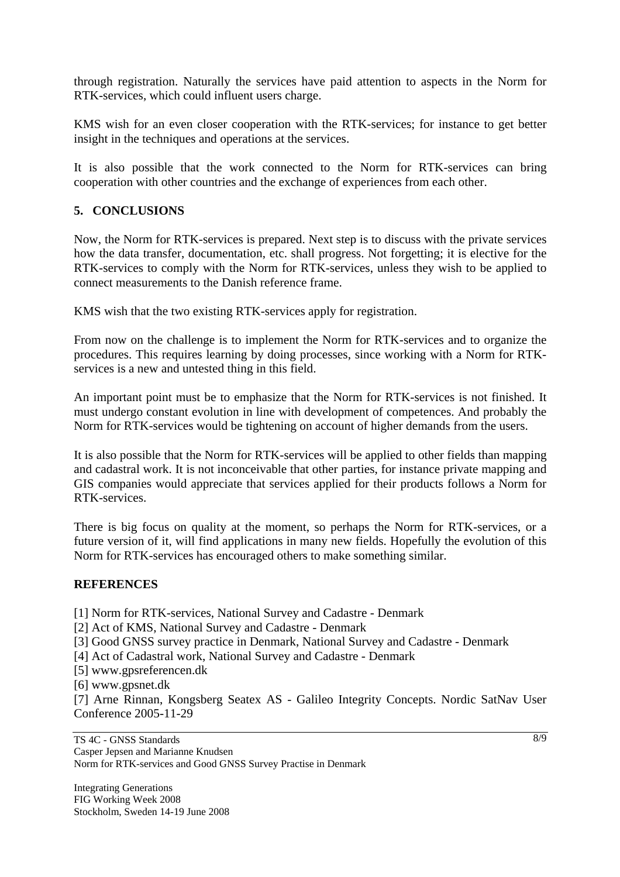through registration. Naturally the services have paid attention to aspects in the Norm for RTK-services, which could influent users charge.

KMS wish for an even closer cooperation with the RTK-services; for instance to get better insight in the techniques and operations at the services.

It is also possible that the work connected to the Norm for RTK-services can bring cooperation with other countries and the exchange of experiences from each other.

#### **5. CONCLUSIONS**

Now, the Norm for RTK-services is prepared. Next step is to discuss with the private services how the data transfer, documentation, etc. shall progress. Not forgetting; it is elective for the RTK-services to comply with the Norm for RTK-services, unless they wish to be applied to connect measurements to the Danish reference frame.

KMS wish that the two existing RTK-services apply for registration.

From now on the challenge is to implement the Norm for RTK-services and to organize the procedures. This requires learning by doing processes, since working with a Norm for RTKservices is a new and untested thing in this field.

An important point must be to emphasize that the Norm for RTK-services is not finished. It must undergo constant evolution in line with development of competences. And probably the Norm for RTK-services would be tightening on account of higher demands from the users.

It is also possible that the Norm for RTK-services will be applied to other fields than mapping and cadastral work. It is not inconceivable that other parties, for instance private mapping and GIS companies would appreciate that services applied for their products follows a Norm for RTK-services.

There is big focus on quality at the moment, so perhaps the Norm for RTK-services, or a future version of it, will find applications in many new fields. Hopefully the evolution of this Norm for RTK-services has encouraged others to make something similar.

#### **REFERENCES**

[1] Norm for RTK-services, National Survey and Cadastre - Denmark

[2] Act of KMS, National Survey and Cadastre - Denmark

[3] Good GNSS survey practice in Denmark, National Survey and Cadastre - Denmark

[4] Act of Cadastral work, National Survey and Cadastre - Denmark

- [5] www.gpsreferencen.dk
- [6] www.gpsnet.dk

[7] Arne Rinnan, Kongsberg Seatex AS - Galileo Integrity Concepts. Nordic SatNav User Conference 2005-11-29

TS 4C - GNSS Standards Casper Jepsen and Marianne Knudsen Norm for RTK-services and Good GNSS Survey Practise in Denmark

Integrating Generations FIG Working Week 2008 Stockholm, Sweden 14-19 June 2008